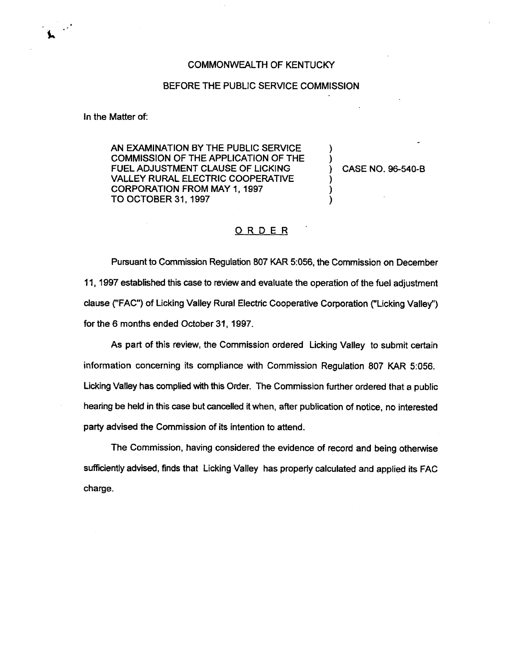## COMMONWEALTH OF KENTUCKY

## BEFORE THE PUBLlC SERVICE COMMISSION

In the Matter of:

AN EXAMINATION BY THE PUBLIC SERVICE COMMISSION OF THE APPLICATION OF THE FUEL ADJUSTMENT CLAUSE OF LICKING VALLEY RURAL ELECTRIC COOPERATIVE CORPORATION FROM MAY 1, 1997 TO OCTOBER 31, 1997

) CASE NO. 96-540-8

) )

) )

## ORDER

Pursuant to Commission Regulation 807 KAR 5:056, the Commission on December 11, 1997 established this case to review and evaluate the operation of the fuel adjustment clause ("FAC") of Licking Valley Rural Electric Cooperative Corporation ("Licking Valley" ) for the 6 months ended October 31, 1997.

As part of this review, the Commission ordered Licking Valley to submit certain information concerning its compliance with Commission Regulation 807 KAR 5:056. Licking Valley has complied with this Order. The Commission further ordered that a public hearing be held in this case but cancelled it when, after publication of notice, no interested party advised the Commission of its intention to attend.

The Commission, having considered the evidence of record and being otherwise sufficiently advised, finds that Licking Valley has properly calculated and applied its FAC charge.